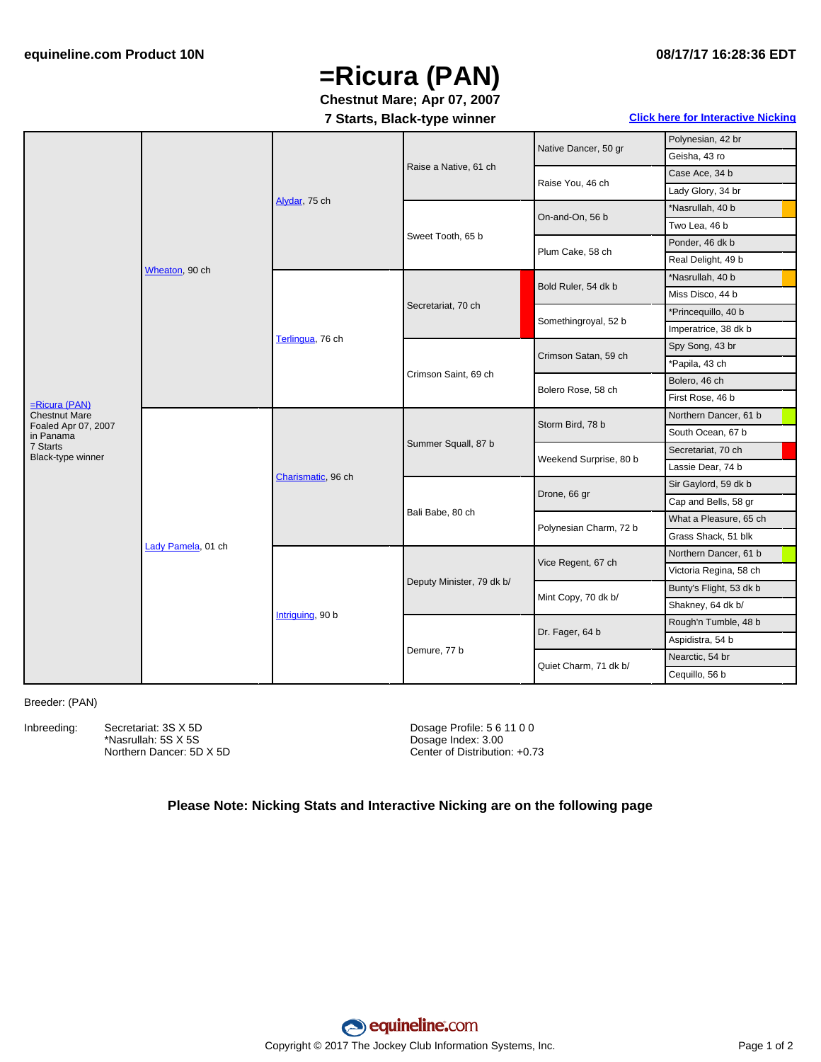## **=Ricura (PAN)**

### **Chestnut Mare; Apr 07, 2007**

#### **7 Starts, Black-type winner Click here for [Interactive](#page-1-0) Nicking**

|                                                                    | Wheaton, 90 ch     | Alydar, 75 ch      | Raise a Native, 61 ch     | Native Dancer, 50 gr   | Polynesian, 42 br       |
|--------------------------------------------------------------------|--------------------|--------------------|---------------------------|------------------------|-------------------------|
|                                                                    |                    |                    |                           |                        | Geisha, 43 ro           |
|                                                                    |                    |                    |                           | Raise You, 46 ch       | Case Ace, 34 b          |
|                                                                    |                    |                    |                           |                        | Lady Glory, 34 br       |
|                                                                    |                    |                    | Sweet Tooth, 65 b         | On-and-On, 56 b        | *Nasrullah, 40 b        |
|                                                                    |                    |                    |                           |                        | Two Lea, 46 b           |
|                                                                    |                    |                    |                           | Plum Cake, 58 ch       | Ponder, 46 dk b         |
|                                                                    |                    |                    |                           |                        | Real Delight, 49 b      |
|                                                                    |                    | Terlingua, 76 ch   | Secretariat, 70 ch        | Bold Ruler, 54 dk b    | *Nasrullah, 40 b        |
| =Ricura (PAN)<br>Chestnut Mare<br>Foaled Apr 07, 2007<br>in Panama |                    |                    |                           |                        | Miss Disco, 44 b        |
|                                                                    |                    |                    |                           | Somethingroyal, 52 b   | *Princequillo, 40 b     |
|                                                                    |                    |                    |                           |                        | Imperatrice, 38 dk b    |
|                                                                    |                    |                    | Crimson Saint, 69 ch      | Crimson Satan, 59 ch   | Spy Song, 43 br         |
|                                                                    |                    |                    |                           |                        | *Papila, 43 ch          |
|                                                                    |                    |                    |                           | Bolero Rose, 58 ch     | Bolero, 46 ch           |
|                                                                    |                    |                    |                           |                        | First Rose, 46 b        |
|                                                                    | Lady Pamela, 01 ch | Charismatic, 96 ch | Summer Squall, 87 b       | Storm Bird, 78 b       | Northern Dancer, 61 b   |
|                                                                    |                    |                    |                           |                        | South Ocean, 67 b       |
| 7 Starts<br>Black-type winner                                      |                    |                    |                           | Weekend Surprise, 80 b | Secretariat, 70 ch      |
|                                                                    |                    |                    |                           |                        | Lassie Dear, 74 b       |
|                                                                    |                    |                    | Bali Babe, 80 ch          | Drone, 66 gr           | Sir Gaylord, 59 dk b    |
|                                                                    |                    |                    |                           |                        | Cap and Bells, 58 gr    |
|                                                                    |                    |                    |                           | Polynesian Charm, 72 b | What a Pleasure, 65 ch  |
|                                                                    |                    |                    |                           |                        | Grass Shack, 51 blk     |
|                                                                    |                    | Intriguing, 90 b   | Deputy Minister, 79 dk b/ | Vice Regent, 67 ch     | Northern Dancer, 61 b   |
|                                                                    |                    |                    |                           |                        | Victoria Regina, 58 ch  |
|                                                                    |                    |                    |                           | Mint Copy, 70 dk b/    | Bunty's Flight, 53 dk b |
|                                                                    |                    |                    |                           |                        | Shakney, 64 dk b/       |
|                                                                    |                    |                    | Demure, 77 b              | Dr. Fager, 64 b        | Rough'n Tumble, 48 b    |
|                                                                    |                    |                    |                           |                        | Aspidistra, 54 b        |
|                                                                    |                    |                    |                           | Quiet Charm, 71 dk b/  | Nearctic, 54 br         |
|                                                                    |                    |                    |                           |                        | Cequillo, 56 b          |
|                                                                    |                    |                    |                           |                        |                         |

#### Breeder: (PAN)

Inbreeding: Secretariat: 3S X 5D \*Nasrullah: 5S X 5S Northern Dancer: 5D X 5D Dosage Profile: 5 6 11 0 0 Dosage Index: 3.00 Center of Distribution: +0.73

#### **Please Note: Nicking Stats and Interactive Nicking are on the following page**